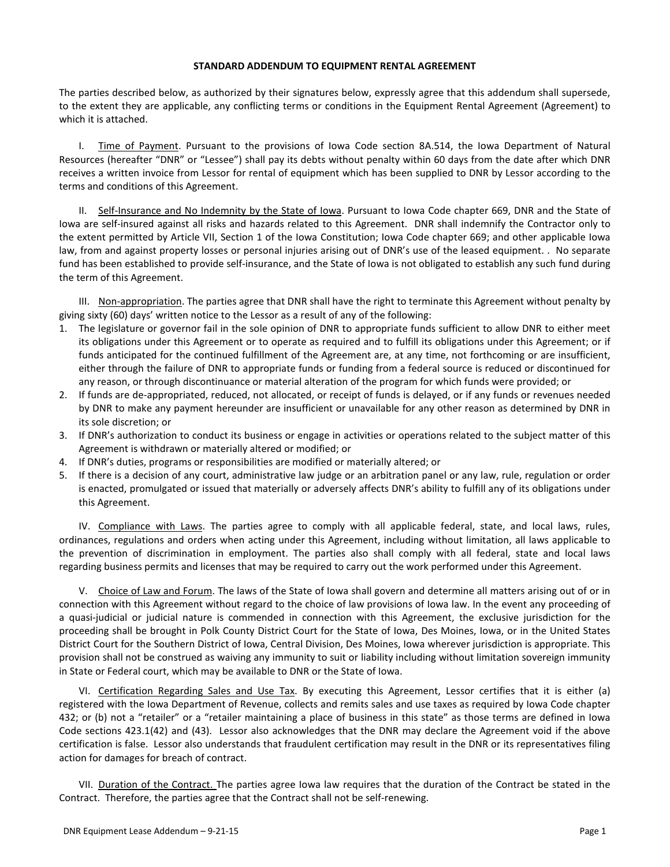## **STANDARD ADDENDUM TO EQUIPMENT RENTAL AGREEMENT**

The parties described below, as authorized by their signatures below, expressly agree that this addendum shall supersede, to the extent they are applicable, any conflicting terms or conditions in the Equipment Rental Agreement (Agreement) to which it is attached.

I. Time of Payment. Pursuant to the provisions of Iowa Code section 8A.514, the Iowa Department of Natural Resources (hereafter "DNR" or "Lessee") shall pay its debts without penalty within 60 days from the date after which DNR receives a written invoice from Lessor for rental of equipment which has been supplied to DNR by Lessor according to the terms and conditions of this Agreement.

II. Self-Insurance and No Indemnity by the State of Iowa. Pursuant to Iowa Code chapter 669, DNR and the State of Iowa are self-insured against all risks and hazards related to this Agreement. DNR shall indemnify the Contractor only to the extent permitted by Article VII, Section 1 of the Iowa Constitution; Iowa Code chapter 669; and other applicable Iowa law, from and against property losses or personal injuries arising out of DNR's use of the leased equipment. . No separate fund has been established to provide self-insurance, and the State of Iowa is not obligated to establish any such fund during the term of this Agreement.

III. Non-appropriation. The parties agree that DNR shall have the right to terminate this Agreement without penalty by giving sixty (60) days' written notice to the Lessor as a result of any of the following:

- 1. The legislature or governor fail in the sole opinion of DNR to appropriate funds sufficient to allow DNR to either meet its obligations under this Agreement or to operate as required and to fulfill its obligations under this Agreement; or if funds anticipated for the continued fulfillment of the Agreement are, at any time, not forthcoming or are insufficient, either through the failure of DNR to appropriate funds or funding from a federal source is reduced or discontinued for any reason, or through discontinuance or material alteration of the program for which funds were provided; or
- 2. If funds are de-appropriated, reduced, not allocated, or receipt of funds is delayed, or if any funds or revenues needed by DNR to make any payment hereunder are insufficient or unavailable for any other reason as determined by DNR in its sole discretion; or
- 3. If DNR's authorization to conduct its business or engage in activities or operations related to the subject matter of this Agreement is withdrawn or materially altered or modified; or
- 4. If DNR's duties, programs or responsibilities are modified or materially altered; or
- 5. If there is a decision of any court, administrative law judge or an arbitration panel or any law, rule, regulation or order is enacted, promulgated or issued that materially or adversely affects DNR's ability to fulfill any of its obligations under this Agreement.

IV. Compliance with Laws. The parties agree to comply with all applicable federal, state, and local laws, rules, ordinances, regulations and orders when acting under this Agreement, including without limitation, all laws applicable to the prevention of discrimination in employment. The parties also shall comply with all federal, state and local laws regarding business permits and licenses that may be required to carry out the work performed under this Agreement.

V. Choice of Law and Forum. The laws of the State of Iowa shall govern and determine all matters arising out of or in connection with this Agreement without regard to the choice of law provisions of Iowa law. In the event any proceeding of a quasi-judicial or judicial nature is commended in connection with this Agreement, the exclusive jurisdiction for the proceeding shall be brought in Polk County District Court for the State of Iowa, Des Moines, Iowa, or in the United States District Court for the Southern District of Iowa, Central Division, Des Moines, Iowa wherever jurisdiction is appropriate. This provision shall not be construed as waiving any immunity to suit or liability including without limitation sovereign immunity in State or Federal court, which may be available to DNR or the State of Iowa.

VI. Certification Regarding Sales and Use Tax. By executing this Agreement, Lessor certifies that it is either (a) registered with the Iowa Department of Revenue, collects and remits sales and use taxes as required by Iowa Code chapter 432; or (b) not a "retailer" or a "retailer maintaining a place of business in this state" as those terms are defined in Iowa Code sections 423.1(42) and (43). Lessor also acknowledges that the DNR may declare the Agreement void if the above certification is false. Lessor also understands that fraudulent certification may result in the DNR or its representatives filing action for damages for breach of contract.

VII. Duration of the Contract. The parties agree Iowa law requires that the duration of the Contract be stated in the Contract. Therefore, the parties agree that the Contract shall not be self-renewing.